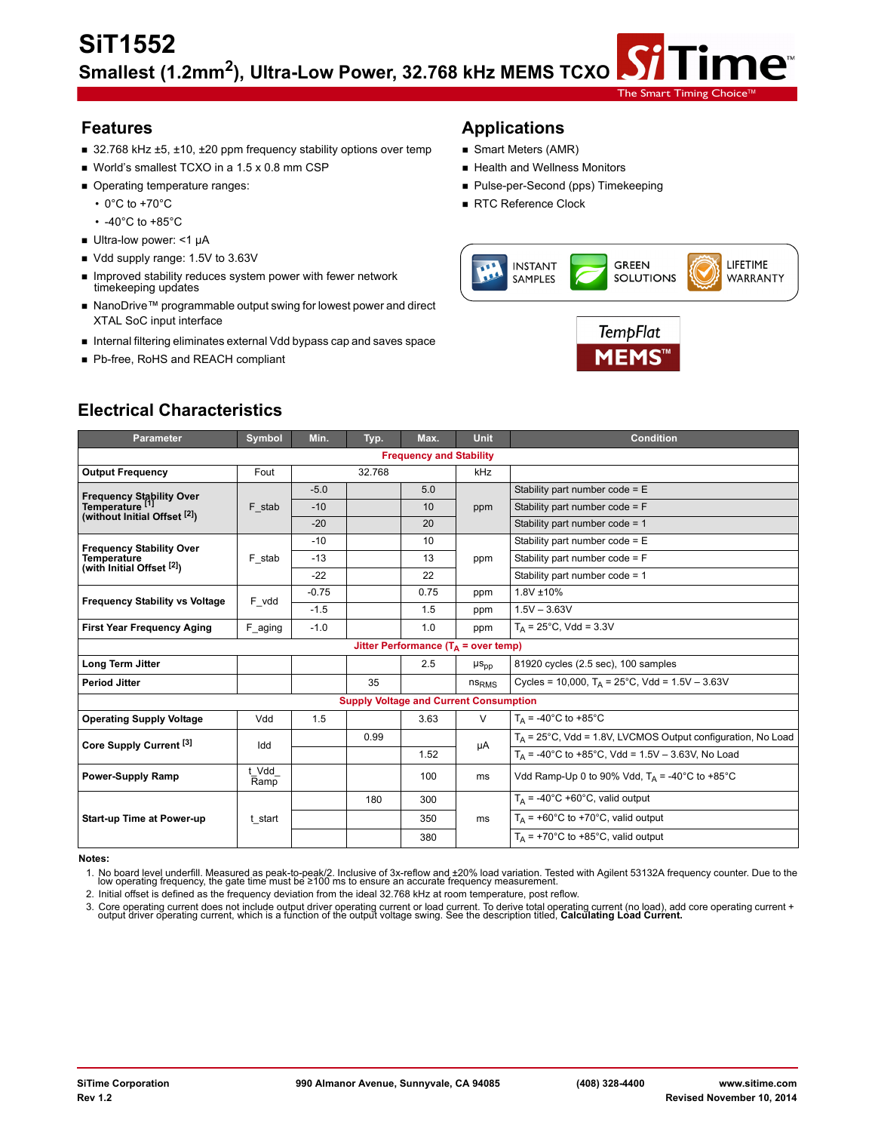- 32.768 kHz ±5, ±10, ±20 ppm frequency stability options over temp Smart Meters (AMR)
- World's smallest TCXO in a 1.5 x 0.8 mm CSP **No. 1998 Health and Wellness Monitors**
- 
- 
- -40°C to +85°C
- Ultra-low power: <1 µA
- Vdd supply range: 1.5V to 3.63V
- **Improved stability reduces system power with fewer network** timekeeping updates
- NanoDrive™ programmable output swing for lowest power and direct XTAL SoC input interface
- Internal filtering eliminates external Vdd bypass cap and saves space
- Pb-free, RoHS and REACH compliant

# **Features Applications**

- 
- 
- Operating temperature ranges: Pulse-per-Second (pps) Timekeeping
	- 0°C to +70°C **RTC Reference Clock**



The Smart Timing

ne™



| <b>Parameter</b>                                                            | Symbol        | Min.       | Typ.                                                | Max.                                    | <b>Unit</b>       | <b>Condition</b>                                               |
|-----------------------------------------------------------------------------|---------------|------------|-----------------------------------------------------|-----------------------------------------|-------------------|----------------------------------------------------------------|
|                                                                             |               |            |                                                     | <b>Frequency and Stability</b>          |                   |                                                                |
| <b>Output Frequency</b>                                                     | Fout          |            | 32.768                                              |                                         | kHz               |                                                                |
|                                                                             |               | $-5.0$     |                                                     | 5.0                                     |                   | Stability part number $code = E$                               |
| Frequency Stability Over<br>Temperature [1]<br>(without Initial Offset [2]) | F stab        | $-10$      |                                                     | 10                                      | ppm               | Stability part number $code = F$                               |
|                                                                             |               | $-20$      |                                                     | 20                                      |                   | Stability part number code = 1                                 |
| <b>Frequency Stability Over</b>                                             |               | $-10$      |                                                     | 10                                      |                   | Stability part number $code = E$                               |
| <b>Temperature</b><br>(with Initial Offset <sup>[2]</sup> )                 | F_stab        | $-13$      |                                                     | 13                                      | ppm               | Stability part number code = F                                 |
|                                                                             |               | $-22$      |                                                     | 22                                      |                   | Stability part number $code = 1$                               |
| <b>Frequency Stability vs Voltage</b>                                       | F_vdd         | $-0.75$    |                                                     | 0.75                                    | ppm               | 1.8V ±10%                                                      |
|                                                                             |               | $-1.5$     |                                                     | 1.5                                     | ppm               | $1.5V - 3.63V$                                                 |
| <b>First Year Frequency Aging</b>                                           | F_aging       | $-1.0$     |                                                     | 1.0                                     | ppm               | $T_A = 25^{\circ}$ C, Vdd = 3.3V                               |
|                                                                             |               |            |                                                     | Jitter Performance ( $T_A$ = over temp) |                   |                                                                |
| Long Term Jitter                                                            |               |            |                                                     | 2.5                                     | $\mu s_{pp}$      | 81920 cycles (2.5 sec), 100 samples                            |
| <b>Period Jitter</b>                                                        |               |            | 35                                                  |                                         | ns <sub>RMS</sub> | Cycles = 10,000, $T_A = 25^{\circ}$ C, Vdd = 1.5V - 3.63V      |
|                                                                             |               |            | <b>Supply Voltage and Current Consumption</b>       |                                         |                   |                                                                |
| <b>Operating Supply Voltage</b>                                             | Vdd           | 1.5        |                                                     | 3.63                                    | $\vee$            | $T_{\text{A}}$ = -40°C to +85°C                                |
| Core Supply Current <sup>[3]</sup>                                          | Idd           |            | 0.99                                                |                                         |                   | $T_A$ = 25°C, Vdd = 1.8V, LVCMOS Output configuration, No Load |
|                                                                             |               | μA<br>1.52 | $T_A$ = -40°C to +85°C, Vdd = 1.5V - 3.63V, No Load |                                         |                   |                                                                |
| <b>Power-Supply Ramp</b>                                                    | t Vdd<br>Ramp |            |                                                     | 100                                     | ms                | Vdd Ramp-Up 0 to 90% Vdd, $T_A = -40^{\circ}$ C to +85°C       |
|                                                                             |               |            | 180                                                 | 300                                     |                   | $T_A$ = -40°C +60°C, valid output                              |
| <b>Start-up Time at Power-up</b>                                            | t start       |            |                                                     | 350                                     | ms                | $T_A$ = +60°C to +70°C, valid output                           |
|                                                                             |               |            |                                                     | 380                                     |                   | $T_A$ = +70°C to +85°C, valid output                           |

#### **Notes:**

1. No board level underfill. Measured as peak-to-peak/2. Inclusive of 3x-reflow and ±20% load variation. Tested with Agilent 53132A frequency counter. Due to the<br>Iow operating frequency, the gate time must be ≥100 ms to e

2. Initial offset is defined as the frequency deviation from the ideal 32.768 kHz at room temperature, post reflow.

3. Core operating current does not include output driver operating current or load current. To derive total operating current (no load), add core operating current + output driver operating current, which is a function of

# **Electrical Characteristics**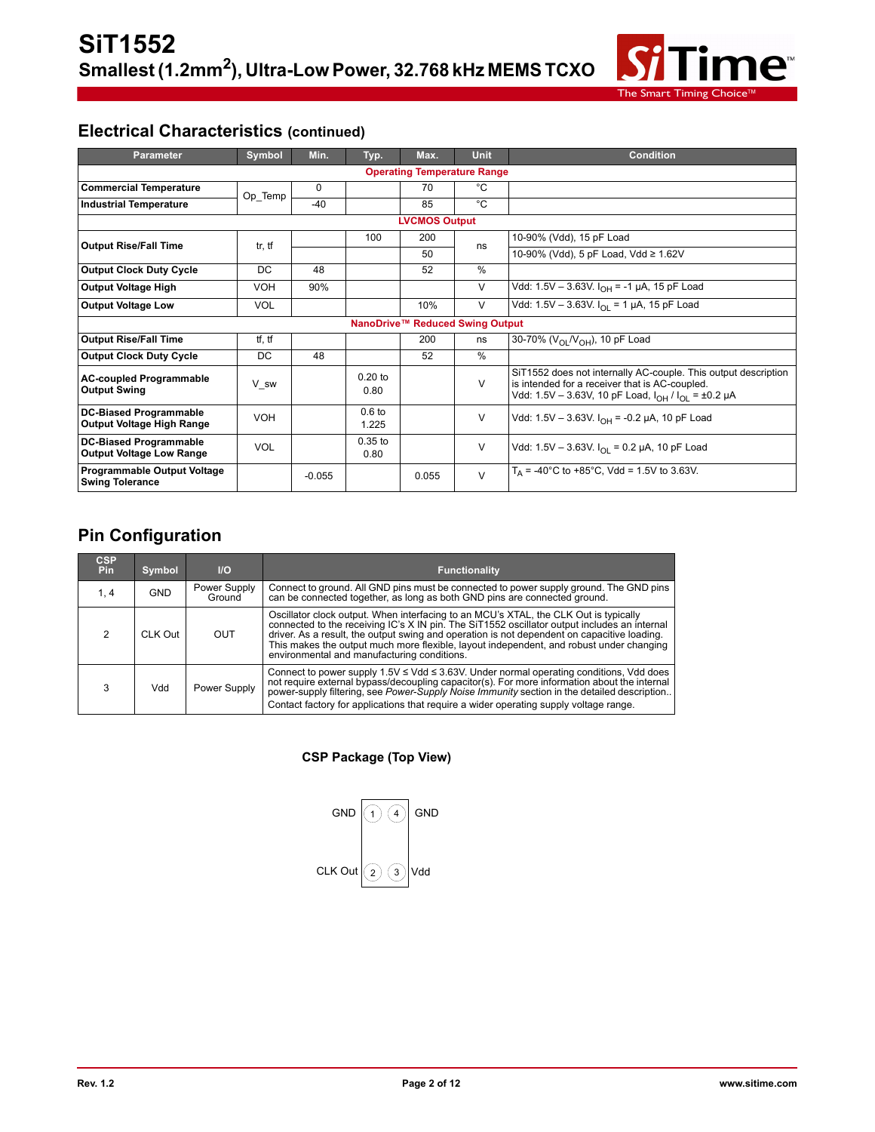

# **Electrical Characteristics (continued)**

| <b>Parameter</b>                                                 | Symbol               | Min.     | Typ.              | Max.                            | <b>Unit</b> | <b>Condition</b>                                                                                                                                                                 |  |  |  |
|------------------------------------------------------------------|----------------------|----------|-------------------|---------------------------------|-------------|----------------------------------------------------------------------------------------------------------------------------------------------------------------------------------|--|--|--|
| <b>Operating Temperature Range</b>                               |                      |          |                   |                                 |             |                                                                                                                                                                                  |  |  |  |
| <b>Commercial Temperature</b>                                    | Op_Temp              | $\Omega$ |                   | 70                              | °C          |                                                                                                                                                                                  |  |  |  |
| <b>Industrial Temperature</b>                                    |                      | $-40$    |                   | 85                              | °C          |                                                                                                                                                                                  |  |  |  |
|                                                                  | <b>LVCMOS Output</b> |          |                   |                                 |             |                                                                                                                                                                                  |  |  |  |
| <b>Output Rise/Fall Time</b>                                     | tr, tf               |          | 100               | 200                             | ns          | 10-90% (Vdd), 15 pF Load                                                                                                                                                         |  |  |  |
|                                                                  |                      |          |                   | 50                              |             | 10-90% (Vdd), 5 pF Load, Vdd ≥ 1.62V                                                                                                                                             |  |  |  |
| <b>Output Clock Duty Cycle</b>                                   | DC                   | 48       |                   | 52                              | %           |                                                                                                                                                                                  |  |  |  |
| <b>Output Voltage High</b>                                       | <b>VOH</b>           | 90%      |                   |                                 | V           | Vdd: 1.5V - 3.63V. $I_{OH}$ = -1 µA, 15 pF Load                                                                                                                                  |  |  |  |
| <b>Output Voltage Low</b>                                        | <b>VOL</b>           |          |                   | 10%                             | V           | Vdd: 1.5V - 3.63V. $I_{\Omega I}$ = 1 µA, 15 pF Load                                                                                                                             |  |  |  |
|                                                                  |                      |          |                   | NanoDrive™ Reduced Swing Output |             |                                                                                                                                                                                  |  |  |  |
| <b>Output Rise/Fall Time</b>                                     | tf, tf               |          |                   | 200                             | ns          | 30-70% (V <sub>OL</sub> N <sub>OH</sub> ), 10 pF Load                                                                                                                            |  |  |  |
| <b>Output Clock Duty Cycle</b>                                   | DC                   | 48       |                   | 52                              | $\%$        |                                                                                                                                                                                  |  |  |  |
| <b>AC-coupled Programmable</b><br><b>Output Swing</b>            | V sw                 |          | $0.20$ to<br>0.80 |                                 | $\vee$      | SiT1552 does not internally AC-couple. This output description<br>is intended for a receiver that is AC-coupled.<br>Vdd: 1.5V - 3.63V, 10 pF Load, $I_{OH}$ / $I_{OI}$ = ±0.2 µA |  |  |  |
| <b>DC-Biased Programmable</b><br>Output Voltage High Range       | VOH                  |          | $0.6$ to<br>1.225 |                                 | V           | Vdd: 1.5V - 3.63V. I <sub>OH</sub> = -0.2 µA, 10 pF Load                                                                                                                         |  |  |  |
| <b>DC-Biased Programmable</b><br><b>Output Voltage Low Range</b> | <b>VOL</b>           |          | $0.35$ to<br>0.80 |                                 | V           | Vdd: 1.5V - 3.63V. $I_{\Omega I}$ = 0.2 µA, 10 pF Load                                                                                                                           |  |  |  |
| <b>Programmable Output Voltage</b><br><b>Swing Tolerance</b>     |                      | $-0.055$ |                   | 0.055                           | V           | $T_A$ = -40°C to +85°C, Vdd = 1.5V to 3.63V.                                                                                                                                     |  |  |  |

# **Pin Configuration**

| <b>CSP</b><br><b>Pin</b> | Symbol     | $II$                   | <b>Functionality</b>                                                                                                                                                                                                                                                                                                                                                                                                          |
|--------------------------|------------|------------------------|-------------------------------------------------------------------------------------------------------------------------------------------------------------------------------------------------------------------------------------------------------------------------------------------------------------------------------------------------------------------------------------------------------------------------------|
| 1.4                      | <b>GND</b> | Power Supply<br>Ground | Connect to ground. All GND pins must be connected to power supply ground. The GND pins<br>can be connected together, as long as both GND pins are connected ground.                                                                                                                                                                                                                                                           |
| 2                        | CLK Out    | OUT                    | Oscillator clock output. When interfacing to an MCU's XTAL, the CLK Out is typically<br>connected to the receiving IC's X IN pin. The SiT1552 oscillator output includes an internal<br>driver. As a result, the output swing and operation is not dependent on capacitive loading.<br>This makes the output much more flexible, layout independent, and robust under changing<br>environmental and manufacturing conditions. |
|                          | Vdd        | Power Supply           | Connect to power supply $1.5V \leq Vdd \leq 3.63V$ . Under normal operating conditions, Vdd does<br>not require external bypass/decoupling capacitor(s). For more information about the internal<br>power-supply filtering, see Power-Supply Noise Immunity section in the detailed description<br>Contact factory for applications that require a wider operating supply voltage range.                                      |

### **CSP Package (Top View)**

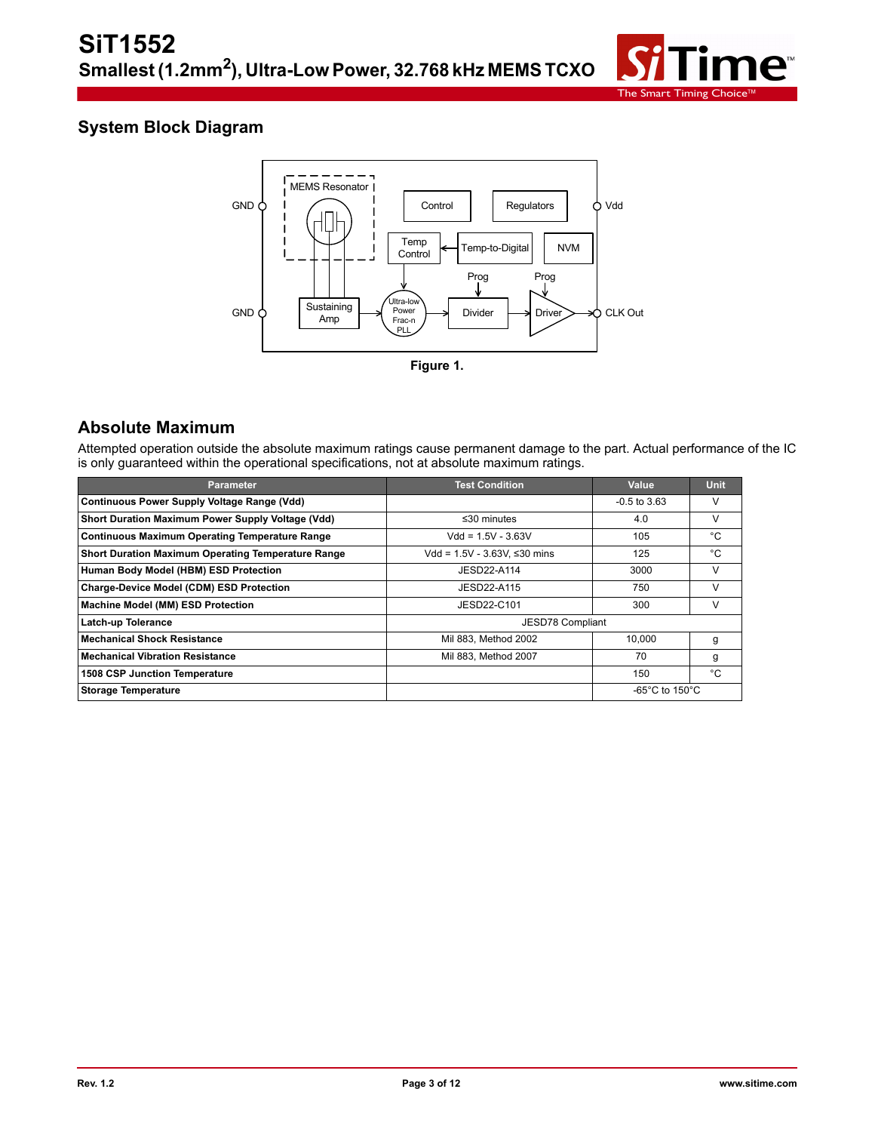

# **System Block Diagram**



### **Absolute Maximum**

Attempted operation outside the absolute maximum ratings cause permanent damage to the part. Actual performance of the IC is only guaranteed within the operational specifications, not at absolute maximum ratings.

| <b>Parameter</b>                                          | <b>Test Condition</b>           | Value                                | <b>Unit</b> |
|-----------------------------------------------------------|---------------------------------|--------------------------------------|-------------|
| <b>Continuous Power Supply Voltage Range (Vdd)</b>        |                                 | $-0.5$ to 3.63                       | V           |
| Short Duration Maximum Power Supply Voltage (Vdd)         | $\leq$ 30 minutes               | 4.0                                  | V           |
| <b>Continuous Maximum Operating Temperature Range</b>     | $Vdd = 1.5V - 3.63V$            | 105                                  | °C          |
| <b>Short Duration Maximum Operating Temperature Range</b> | Vdd = $1.5V - 3.63V$ . ≤30 mins | 125                                  | °C          |
| Human Body Model (HBM) ESD Protection                     | JESD22-A114                     | 3000                                 | V           |
| Charge-Device Model (CDM) ESD Protection                  | JESD22-A115                     | 750                                  | v           |
| Machine Model (MM) ESD Protection                         | JESD22-C101                     | 300                                  | V           |
| Latch-up Tolerance                                        | JESD78 Compliant                |                                      |             |
| <b>Mechanical Shock Resistance</b>                        | Mil 883, Method 2002            | 10.000                               | g           |
| <b>Mechanical Vibration Resistance</b>                    | Mil 883, Method 2007            | 70                                   | g           |
| 1508 CSP Junction Temperature                             |                                 | 150                                  | °C          |
| <b>Storage Temperature</b>                                |                                 | -65 $^{\circ}$ C to 150 $^{\circ}$ C |             |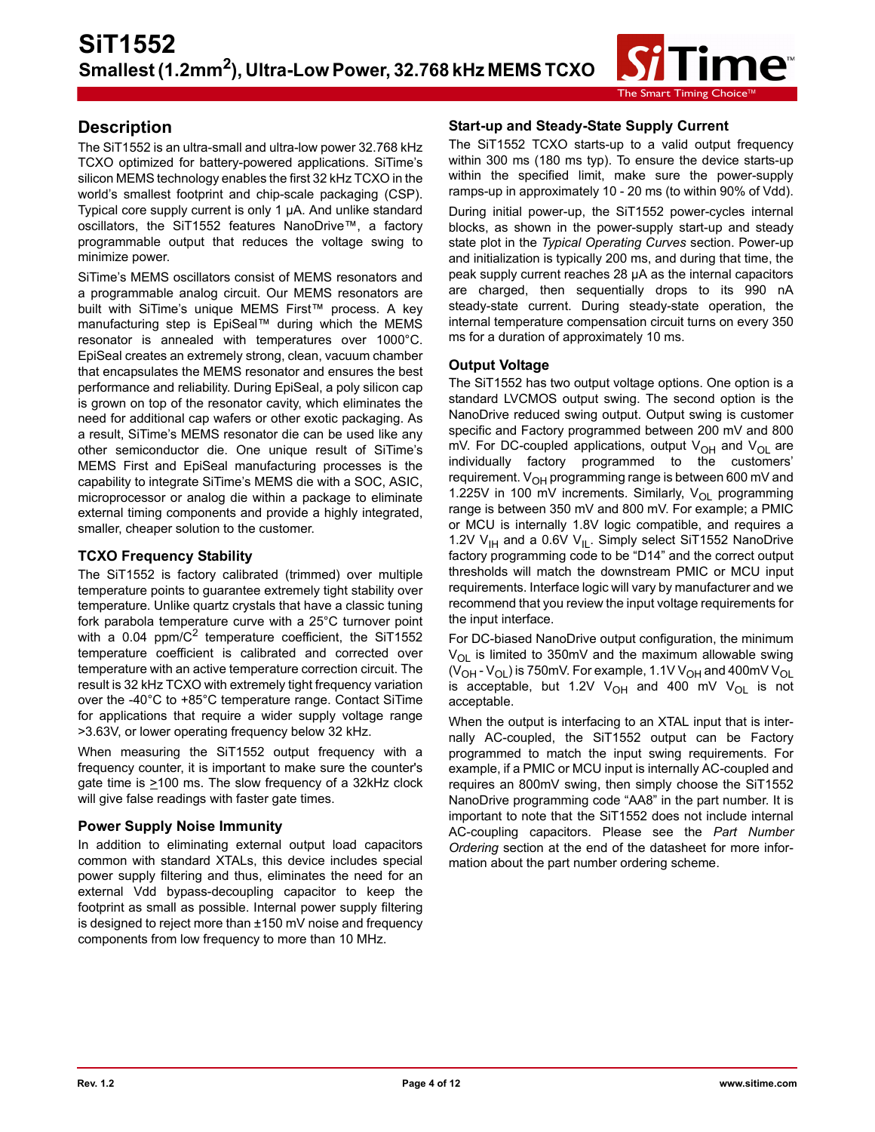

### **Description**

The SiT1552 is an ultra-small and ultra-low power 32.768 kHz TCXO optimized for battery-powered applications. SiTime's silicon MEMS technology enables the first 32 kHz TCXO in the world's smallest footprint and chip-scale packaging (CSP). Typical core supply current is only 1 µA. And unlike standard oscillators, the SiT1552 features NanoDrive™, a factory programmable output that reduces the voltage swing to minimize power.

SiTime's MEMS oscillators consist of MEMS resonators and a programmable analog circuit. Our MEMS resonators are built with SiTime's unique MEMS First™ process. A key manufacturing step is EpiSeal™ during which the MEMS resonator is annealed with temperatures over 1000°C. EpiSeal creates an extremely strong, clean, vacuum chamber that encapsulates the MEMS resonator and ensures the best performance and reliability. During EpiSeal, a poly silicon cap is grown on top of the resonator cavity, which eliminates the need for additional cap wafers or other exotic packaging. As a result, SiTime's MEMS resonator die can be used like any other semiconductor die. One unique result of SiTime's MEMS First and EpiSeal manufacturing processes is the capability to integrate SiTime's MEMS die with a SOC, ASIC, microprocessor or analog die within a package to eliminate external timing components and provide a highly integrated, smaller, cheaper solution to the customer.

### **TCXO Frequency Stability**

The SiT1552 is factory calibrated (trimmed) over multiple temperature points to guarantee extremely tight stability over temperature. Unlike quartz crystals that have a classic tuning fork parabola temperature curve with a 25°C turnover point with a 0.04 ppm/ $C^2$  temperature coefficient, the SiT1552 temperature coefficient is calibrated and corrected over temperature with an active temperature correction circuit. The result is 32 kHz TCXO with extremely tight frequency variation over the -40°C to +85°C temperature range. Contact SiTime for applications that require a wider supply voltage range >3.63V, or lower operating frequency below 32 kHz.

When measuring the SiT1552 output frequency with a frequency counter, it is important to make sure the counter's gate time is  $\geq 100$  ms. The slow frequency of a 32kHz clock will give false readings with faster gate times.

### **Power Supply Noise Immunity**

In addition to eliminating external output load capacitors common with standard XTALs, this device includes special power supply filtering and thus, eliminates the need for an external Vdd bypass-decoupling capacitor to keep the footprint as small as possible. Internal power supply filtering is designed to reject more than ±150 mV noise and frequency components from low frequency to more than 10 MHz.

### **Start-up and Steady-State Supply Current**

The SiT1552 TCXO starts-up to a valid output frequency within 300 ms (180 ms typ). To ensure the device starts-up within the specified limit, make sure the power-supply ramps-up in approximately 10 - 20 ms (to within 90% of Vdd).

During initial power-up, the SiT1552 power-cycles internal blocks, as shown in the power-supply start-up and steady state plot in the *Typical Operating Curves* section. Power-up and initialization is typically 200 ms, and during that time, the peak supply current reaches 28 µA as the internal capacitors are charged, then sequentially drops to its 990 nA steady-state current. During steady-state operation, the internal temperature compensation circuit turns on every 350 ms for a duration of approximately 10 ms.

### **Output Voltage**

The SiT1552 has two output voltage options. One option is a standard LVCMOS output swing. The second option is the NanoDrive reduced swing output. Output swing is customer specific and Factory programmed between 200 mV and 800 mV. For DC-coupled applications, output V<sub>OH</sub> and V<sub>OL</sub> are individually factory programmed to the customers' requirement. V<sub>OH</sub> programming range is between 600 mV and 1.225V in 100 mV increments. Similarly,  $V_{\text{OI}}$  programming range is between 350 mV and 800 mV. For example; a PMIC or MCU is internally 1.8V logic compatible, and requires a 1.2V  $V_{\text{IH}}$  and a 0.6V  $V_{\text{IL}}$ . Simply select SiT1552 NanoDrive factory programming code to be "D14" and the correct output thresholds will match the downstream PMIC or MCU input requirements. Interface logic will vary by manufacturer and we recommend that you review the input voltage requirements for the input interface.

For DC-biased NanoDrive output configuration, the minimum  $V_{\text{OL}}$  is limited to 350mV and the maximum allowable swing  $(V_{OH} - V_{OL})$  is 750mV. For example, 1.1V V<sub>OH</sub> and 400mV V<sub>OL</sub> is acceptable, but 1.2V  $V_{OH}$  and 400 mV  $V_{OH}$  is not acceptable.

When the output is interfacing to an XTAL input that is internally AC-coupled, the SiT1552 output can be Factory programmed to match the input swing requirements. For example, if a PMIC or MCU input is internally AC-coupled and requires an 800mV swing, then simply choose the SiT1552 NanoDrive programming code "AA8" in the part number. It is important to note that the SiT1552 does not include internal AC-coupling capacitors. Please see the *Part Number Ordering* section at the end of the datasheet for more information about the part number ordering scheme.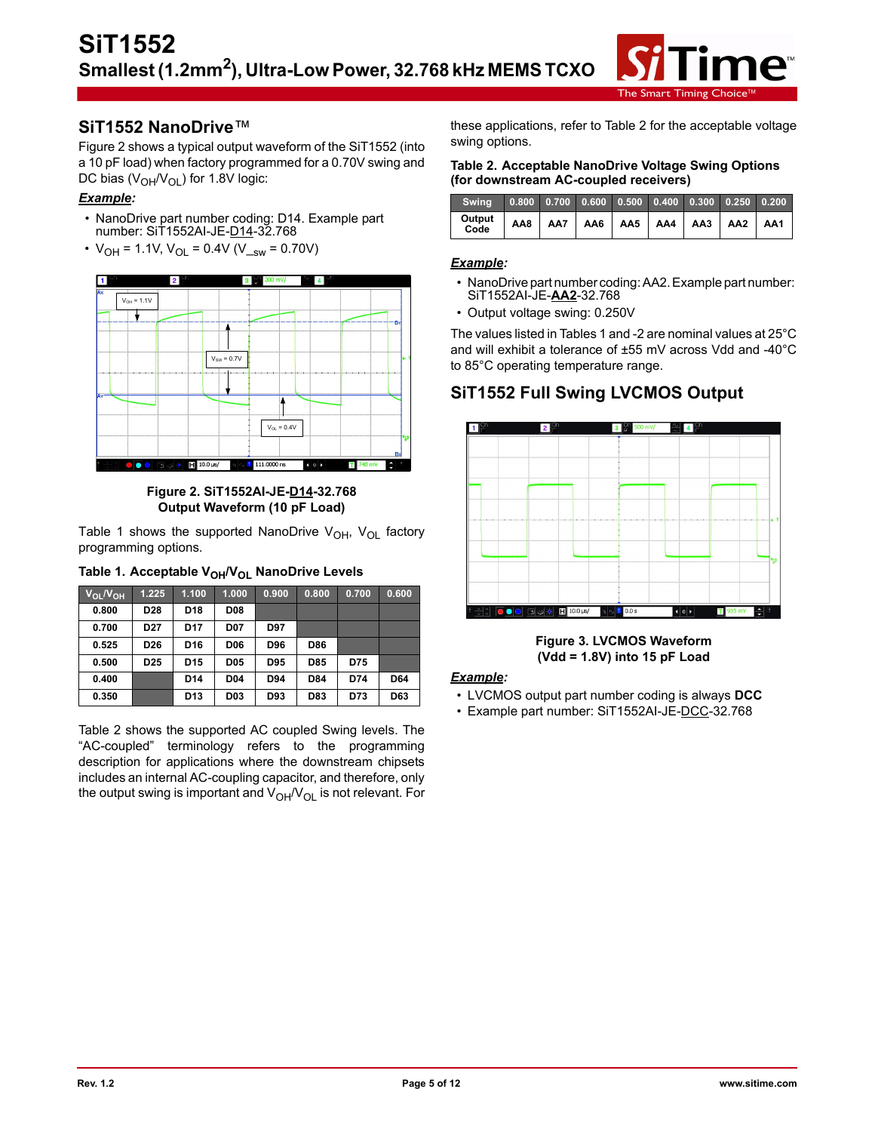

### **SiT1552 NanoDrive**™

Figure 2 shows a typical output waveform of the SiT1552 (into a 10 pF load) when factory programmed for a 0.70V swing and DC bias  $(V_{OH}/V_{OL})$  for 1.8V logic:

### *Example:*

- NanoDrive part number coding: D14. Example part number: SiT1552AI-JE-D14-32.768
- $V_{OH} = 1.1V$ ,  $V_{OH} = 0.4V$  (V<sub>sw</sub> = 0.70V)



**Figure 2. SiT1552AI-JE-D14-32.768 Output Waveform (10 pF Load)**

Table 1 shows the supported NanoDrive  $V_{OH}$ ,  $V_{OL}$  factory programming options.

| Table 1. Acceptable V <sub>OH</sub> /V <sub>OL</sub> NanoDrive Levels |  |
|-----------------------------------------------------------------------|--|
|-----------------------------------------------------------------------|--|

| V <sub>OL</sub> /V <sub>OH</sub> | 1.225           | 1.100           | 1.000           | 0.900 | 0.800 | 0.700 | 0.600 |
|----------------------------------|-----------------|-----------------|-----------------|-------|-------|-------|-------|
| 0.800                            | D <sub>28</sub> | D <sub>18</sub> | <b>D08</b>      |       |       |       |       |
| 0.700                            | D <sub>27</sub> | D <sub>17</sub> | <b>D07</b>      | D97   |       |       |       |
| 0.525                            | D <sub>26</sub> | D <sub>16</sub> | <b>D06</b>      | D96   | D86   |       |       |
| 0.500                            | D <sub>25</sub> | D <sub>15</sub> | <b>D05</b>      | D95   | D85   | D75   |       |
| 0.400                            |                 | D <sub>14</sub> | D <sub>04</sub> | D94   | D84   | D74   | D64   |
| 0.350                            |                 | D <sub>13</sub> | D <sub>03</sub> | D93   | D83   | D73   | D63   |

Table 2 shows the supported AC coupled Swing levels. The "AC-coupled" terminology refers to the programming description for applications where the downstream chipsets includes an internal AC-coupling capacitor, and therefore, only the output swing is important and  $V_{OH}/V_{OL}$  is not relevant. For

these applications, refer to Table 2 for the acceptable voltage swing options.

#### **Table 2. Acceptable NanoDrive Voltage Swing Options (for downstream AC-coupled receivers)**

| Swing 0.800 0.700 0.600 0.500 0.400 0.300 0.250 0.200                                                                |  |  |  |  |
|----------------------------------------------------------------------------------------------------------------------|--|--|--|--|
| $\mid$ Output $\mid$ AA8 $\mid$ AA7 $\mid$ AA6 $\mid$ AA5 $\mid$ AA4 $\mid$ AA3 $\mid$ AA2 $\mid$ AA1 $\mid$<br>Code |  |  |  |  |

### *Example:*

- NanoDrive part number coding: AA2. Example part number: SiT1552AI-JE-**AA2**-32.768
- Output voltage swing: 0.250V

The values listed in Tables 1 and -2 are nominal values at 25°C and will exhibit a tolerance of ±55 mV across Vdd and -40°C to 85°C operating temperature range.

# **SiT1552 Full Swing LVCMOS Output**



**Figure 3. LVCMOS Waveform (Vdd = 1.8V) into 15 pF Load**

### *Example:*

- LVCMOS output part number coding is always **DCC**
- Example part number: SiT1552AI-JE-DCC-32.768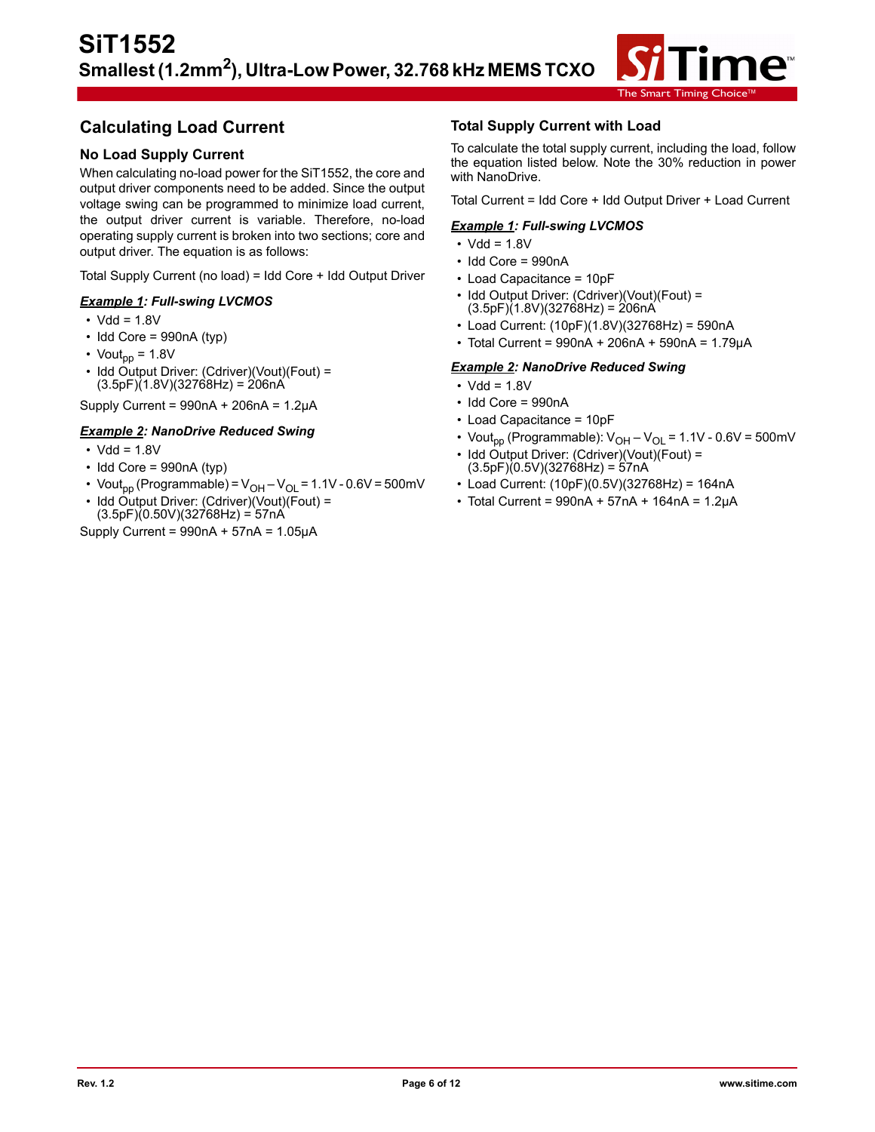

# **Calculating Load Current**

### **No Load Supply Current**

When calculating no-load power for the SiT1552, the core and output driver components need to be added. Since the output voltage swing can be programmed to minimize load current, the output driver current is variable. Therefore, no-load operating supply current is broken into two sections; core and output driver. The equation is as follows:

Total Supply Current (no load) = Idd Core + Idd Output Driver

#### *Example 1: Full-swing LVCMOS*

- $\cdot$  Vdd = 1.8V
- $\cdot$  Idd Core = 990nA (typ)
- Vout<sub>pp</sub> =  $1.8V$
- Idd Output Driver: (Cdriver)(Vout)(Fout) =  $(3.5pF)(1.8V)(32768Hz) = 206nA$

Supply Current =  $990nA + 206nA = 1.2\mu A$ 

#### *Example 2: NanoDrive Reduced Swing*

- $\cdot$  Vdd = 1.8V
- $\cdot$  Idd Core = 990nA (typ)
- Vout<sub>pp</sub> (Programmable) =  $V_{OH} V_{OL} = 1.1V 0.6V = 500mV$
- Idd Output Driver: (Cdriver)(Vout)(Fout) =  $(3.5pF)(0.50V)(32768Hz) = 57nA$

Supply Current =  $990nA + 57nA = 1.05\mu A$ 

### **Total Supply Current with Load**

To calculate the total supply current, including the load, follow the equation listed below. Note the 30% reduction in power with NanoDrive.

Total Current = Idd Core + Idd Output Driver + Load Current

#### *Example 1: Full-swing LVCMOS*

- $\cdot$  Vdd = 1.8V
- Idd Core = 990nA
- Load Capacitance = 10pF
- Idd Output Driver: (Cdriver)(Vout)(Fout) =  $(3.5pF)(1.8V)(32768Hz) = 206nA$
- Load Current: (10pF)(1.8V)(32768Hz) = 590nA
- Total Current = 990nA + 206nA + 590nA = 1.79µA

#### *Example 2: NanoDrive Reduced Swing*

- $\cdot$  Vdd = 1.8V
- Idd Core = 990nA
- Load Capacitance = 10pF
- Vout<sub>pp</sub> (Programmable):  $V_{OH} V_{OL} = 1.1V 0.6V = 500mV$
- Idd Output Driver: (Cdriver)(Vout)(Fout) =  $(3.5pF)(0.5V)(32768Hz) = 57nA$
- Load Current: (10pF)(0.5V)(32768Hz) = 164nA
- $\cdot$  Total Current = 990nA + 57nA + 164nA = 1.2µA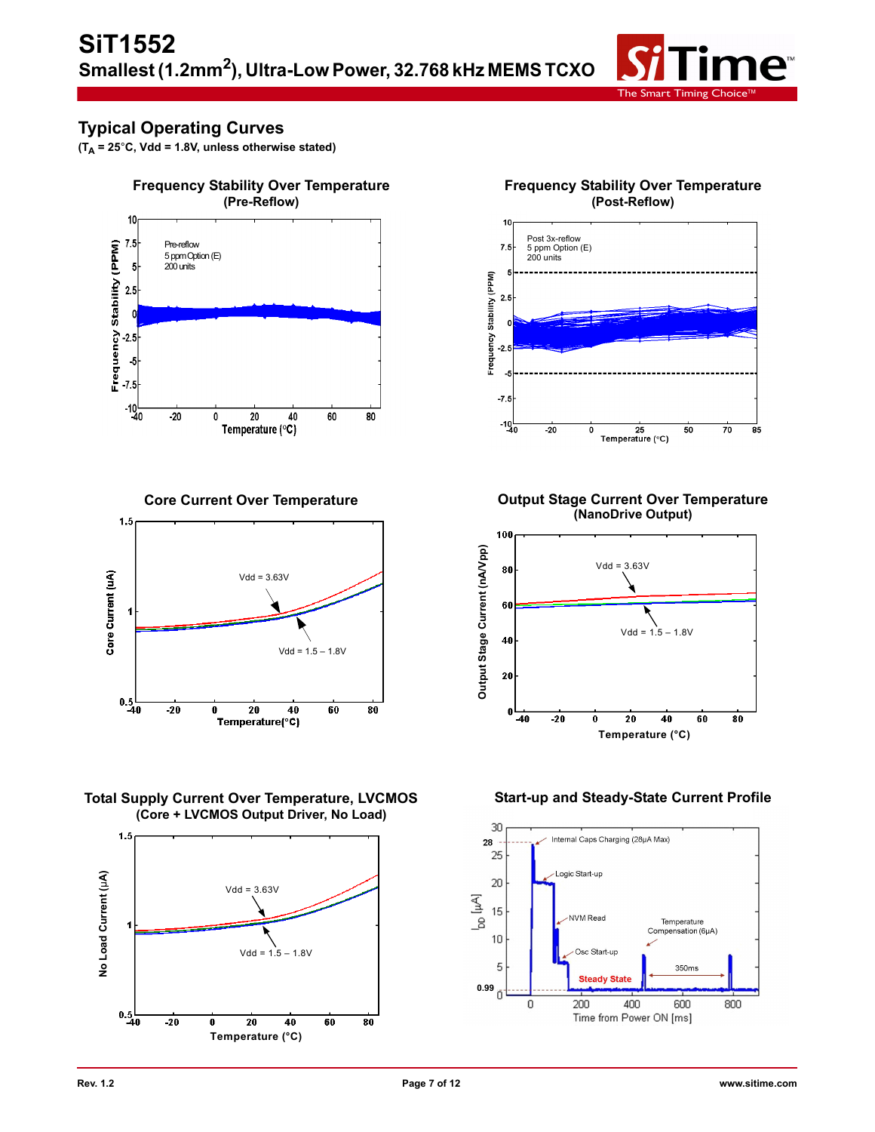

# **Typical Operating Curves**

 $(T_A = 25^\circ \text{C}, \text{Vdd} = 1.8 \text{V}, \text{ unless otherwise stated})$ 



**Core Current Over Temperature**









**Output Stage Current Over Temperature (NanoDrive Output)**



### **Start-up and Steady-State Current Profile**

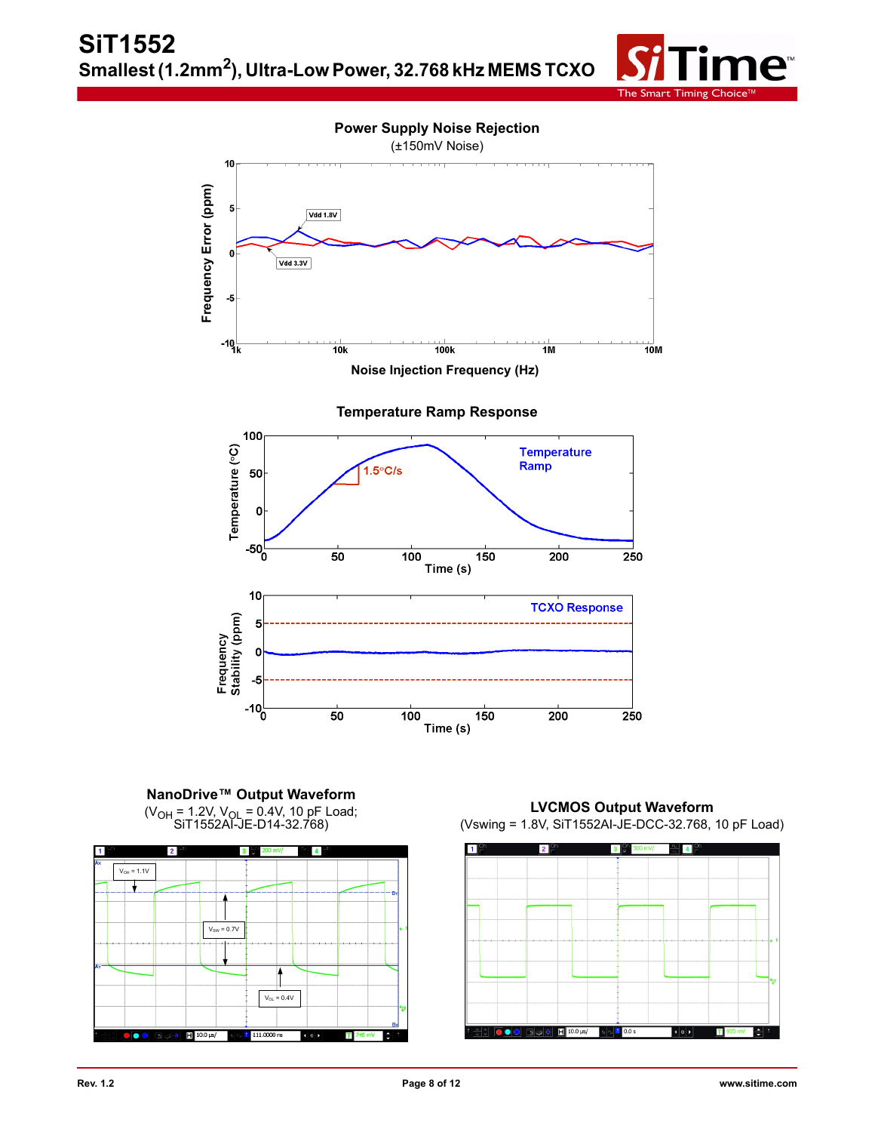



**NanoDrive™ Output Waveform**  (V<sub>OH</sub> = 1.2V, V<sub>OL</sub> = 0.4V, 10 pF Load;<br>SiT1552AI-JE-D14-32.768)

 $-10^{1}_{0}$ 

50

100

Time (s)



**LVCMOS Output Waveform**  (Vswing = 1.8V, SiT1552AI-JE-DCC-32.768, 10 pF Load)

250

200

150

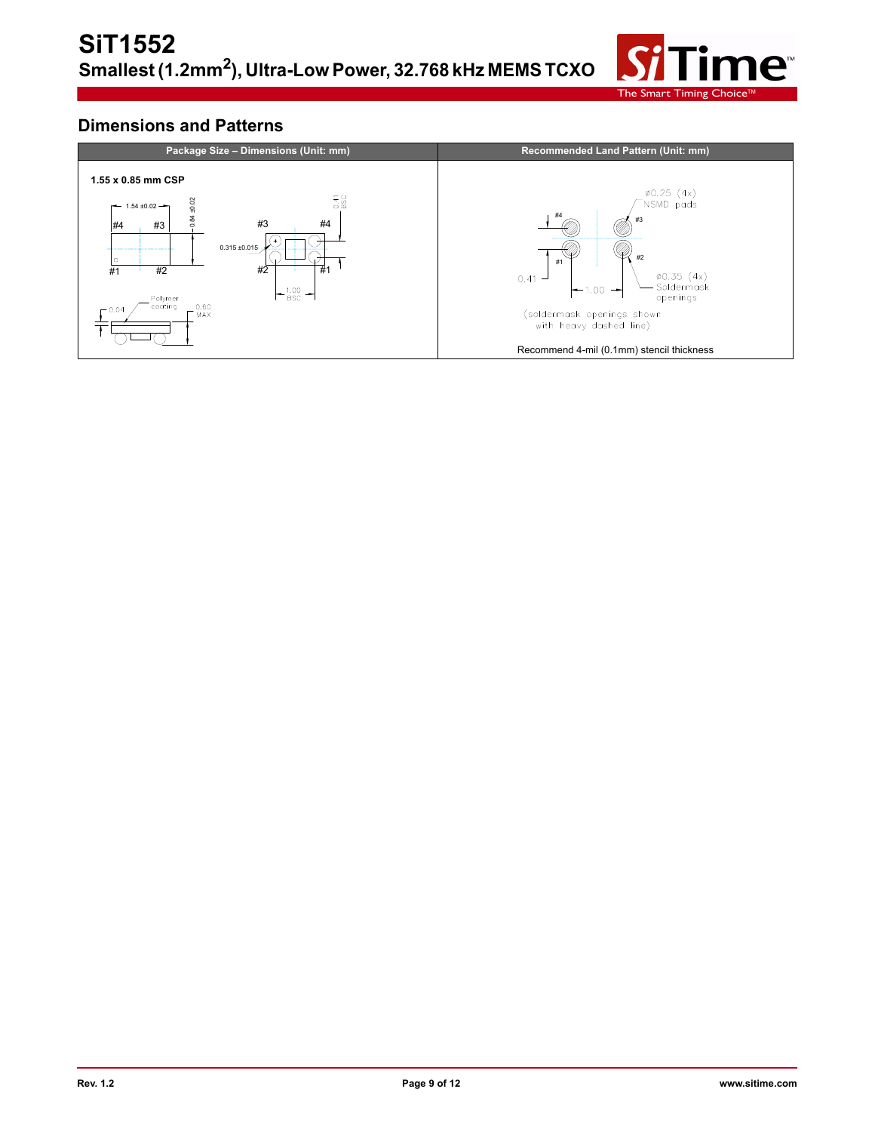

### **Dimensions and Patterns**

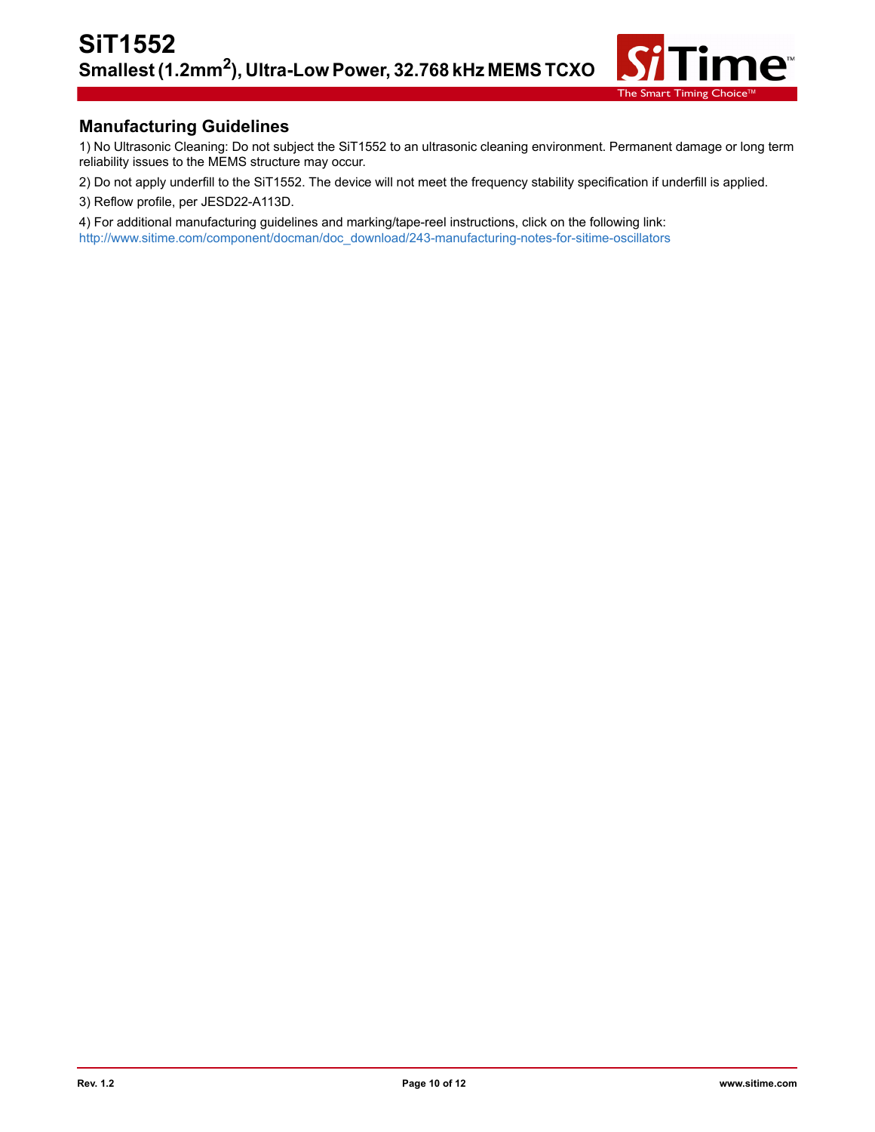

### **Manufacturing Guidelines**

1) No Ultrasonic Cleaning: Do not subject the SiT1552 to an ultrasonic cleaning environment. Permanent damage or long term reliability issues to the MEMS structure may occur.

2) Do not apply underfill to the SiT1552. The device will not meet the frequency stability specification if underfill is applied.

3) Reflow profile, per JESD22-A113D.

4) For additional manufacturing guidelines and marking/tape-reel instructions, click on the following link: [http://www.sitime.com/component/docman/doc\\_download/243-manufacturing-notes-for-sitime-oscillators](http://www.sitime.com/component/docman/doc_download/243-manufacturing-notes-for-sitime-oscillators)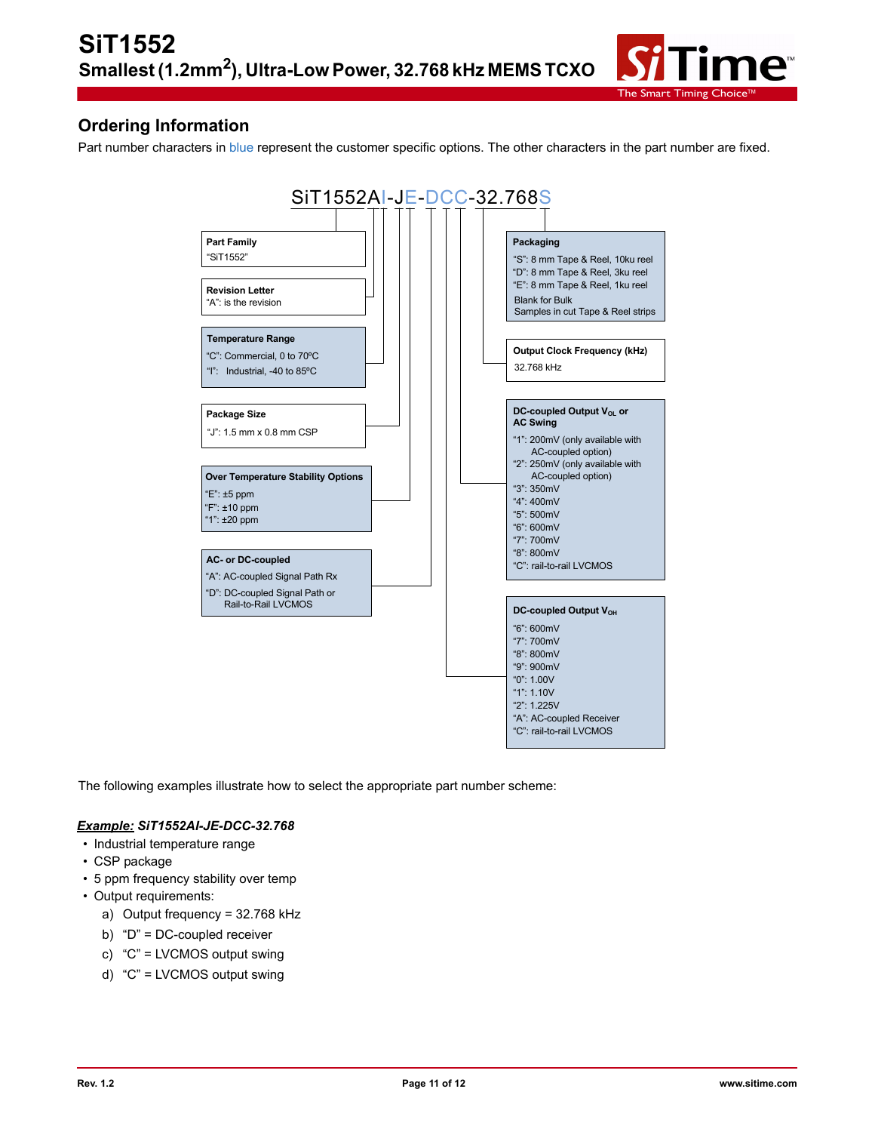

### **Ordering Information**

Part number characters in blue represent the customer specific options. The other characters in the part number are fixed.



The following examples illustrate how to select the appropriate part number scheme:

#### *Example: SiT1552AI-JE-DCC-32.768*

- Industrial temperature range
- CSP package
- 5 ppm frequency stability over temp
- Output requirements:
	- a) Output frequency = 32.768 kHz
	- b) "D" = DC-coupled receiver
	- c) "C" = LVCMOS output swing
	- d) "C" = LVCMOS output swing